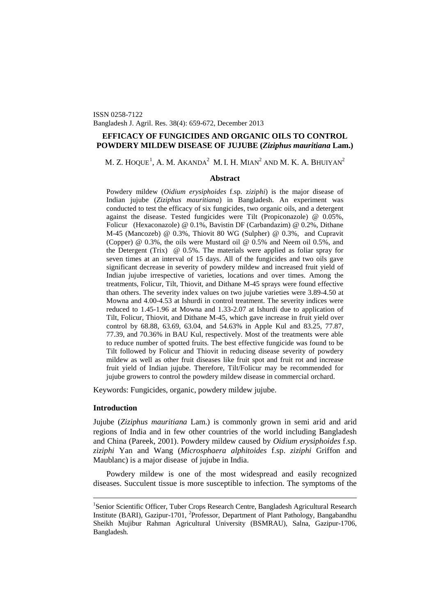ISSN 0258-7122 Bangladesh J. Agril. Res. 38(4): 659-672, December 2013

# **EFFICACY OF FUNGICIDES AND ORGANIC OILS TO CONTROL POWDERY MILDEW DISEASE OF JUJUBE (***Ziziphus mauritiana* **Lam.)**

M. Z. HOQUE $^1$  $^1$ , A. M. Akanda $^2\,$  M. I. H. Mian $^2$  and M. K. A. Bhuiyan $^2$ 

# **Abstract**

Powdery mildew (*Oidium erysiphoides* f.sp. z*iziphi*) is the major disease of Indian jujube (*Ziziphus mauritiana*) in Bangladesh. An experiment was conducted to test the efficacy of six fungicides, two organic oils, and a detergent against the disease. Tested fungicides were Tilt (Propiconazole) @ 0.05%, Folicur (Hexaconazole) @ 0.1%, Bavistin DF (Carbandazim) @ 0.2%, Dithane M-45 (Mancozeb) @ 0.3%, Thiovit 80 WG (Sulpher) @ 0.3%, and Cupravit (Copper) @ 0.3%, the oils were Mustard oil @ 0.5% and Neem oil 0.5%, and the Detergent (Trix) @ 0.5%. The materials were applied as foliar spray for seven times at an interval of 15 days. All of the fungicides and two oils gave significant decrease in severity of powdery mildew and increased fruit yield of Indian jujube irrespective of varieties, locations and over times. Among the treatments, Folicur, Tilt, Thiovit, and Dithane M-45 sprays were found effective than others. The severity index values on two jujube varieties were 3.89-4.50 at Mowna and 4.00-4.53 at Ishurdi in control treatment. The severity indices were reduced to 1.45-1.96 at Mowna and 1.33-2.07 at Ishurdi due to application of Tilt, Folicur, Thiovit, and Dithane M-45, which gave increase in fruit yield over control by 68.88, 63.69, 63.04, and 54.63% in Apple Kul and 83.25, 77.87, 77.39, and 70.36% in BAU Kul, respectively. Most of the treatments were able to reduce number of spotted fruits. The best effective fungicide was found to be Tilt followed by Folicur and Thiovit in reducing disease severity of powdery mildew as well as other fruit diseases like fruit spot and fruit rot and increase fruit yield of Indian jujube. Therefore, Tilt/Folicur may be recommended for jujube growers to control the powdery mildew disease in commercial orchard.

Keywords: Fungicides, organic, powdery mildew jujube.

### **Introduction**

Jujube (*Ziziphus mauritiana* Lam.) is commonly grown in semi arid and arid regions of India and in few other countries of the world including Bangladesh and China (Pareek, 2001). Powdery mildew caused by *Oidium erysiphoides* f.sp. *ziziphi* Yan and Wang (*Microsphaera alphitoides* f.sp. *ziziphi* Griffon and Maublanc) is a major disease of jujube in India.

Powdery mildew is one of the most widespread and easily recognized diseases. Succulent tissue is more susceptible to infection. The symptoms of the

<span id="page-0-0"></span><sup>&</sup>lt;sup>1</sup>Senior Scientific Officer, Tuber Crops Research Centre, Bangladesh Agricultural Research Institute (BARI), Gazipur-1701, <sup>2</sup>Professor, Department of Plant Pathology, Bangabandhu Sheikh Mujibur Rahman Agricultural University (BSMRAU), Salna, Gazipur-1706, Bangladesh.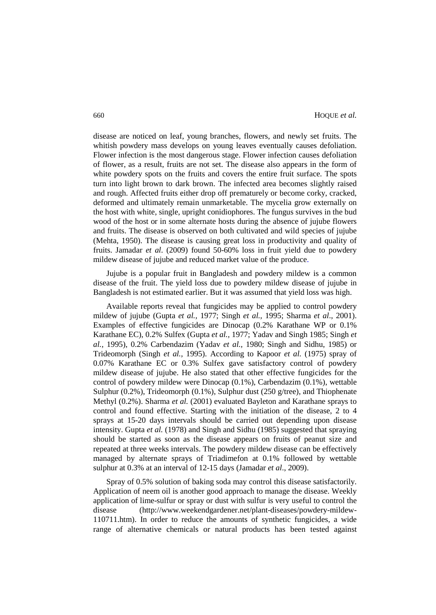disease are noticed on leaf, young branches, flowers, and newly set fruits. The whitish powdery mass develops on young leaves eventually causes defoliation. Flower infection is the most dangerous stage. Flower infection causes defoliation of flower, as a result, fruits are not set. The disease also appears in the form of white powdery spots on the fruits and covers the entire fruit surface. The spots turn into light brown to dark brown. The infected area becomes slightly raised and rough. Affected fruits either drop off prematurely or become corky, cracked, deformed and ultimately remain unmarketable. The mycelia grow externally on the host with white, single, upright conidiophores. The fungus survives in the bud wood of the host or in some alternate hosts during the absence of jujube flowers and fruits. The disease is observed on both cultivated and wild species of jujube (Mehta, 1950). The disease is causing great loss in productivity and quality of fruits. Jamadar *et al*. (2009) found 50-60% loss in fruit yield due to powdery mildew disease of jujube and reduced market value of the produce.

Jujube is a popular fruit in Bangladesh and powdery mildew is a common disease of the fruit. The yield loss due to powdery mildew disease of jujube in Bangladesh is not estimated earlier. But it was assumed that yield loss was high.

Available reports reveal that fungicides may be applied to control powdery mildew of jujube (Gupta *et al.,* 1977; Singh *et al.,* 1995; Sharma *et al*., 2001). Examples of effective fungicides are Dinocap (0.2% Karathane WP or 0.1% Karathane EC), 0.2% Sulfex (Gupta *et al.,* 1977; Yadav and Singh 1985; Singh *et al.,* 1995), 0.2% Carbendazim (Yadav *et al.,* 1980; Singh and Sidhu, 1985) or Trideomorph (Singh *et al.,* 1995). According to Kapoor *et al.* (1975) spray of 0.07% Karathane EC or 0.3% Sulfex gave satisfactory control of powdery mildew disease of jujube. He also stated that other effective fungicides for the control of powdery mildew were Dinocap (0.1%), Carbendazim (0.1%), wettable Sulphur (0.2%), Trideomorph (0.1%), Sulphur dust (250 g/tree), and Thiophenate Methyl (0.2%). Sharma *et al.* (2001) evaluated Bayleton and Karathane sprays to control and found effective. Starting with the initiation of the disease, 2 to 4 sprays at 15-20 days intervals should be carried out depending upon disease intensity. Gupta *et al.* (1978) and Singh and Sidhu (1985) suggested that spraying should be started as soon as the disease appears on fruits of peanut size and repeated at three weeks intervals. The powdery mildew disease can be effectively managed by alternate sprays of Triadimefon at 0.1% followed by wettable sulphur at 0.3% at an interval of 12-15 days (Jamadar *et al*., 2009).

Spray of 0.5% solution of baking soda may control this disease satisfactorily. Application of neem oil is another good approach to manage the disease. Weekly application of lime-sulfur or spray or dust with sulfur is very useful to control the disease (http://www.weekendgardener.net/plant-diseases/powdery-mildew-110711.htm). In order to reduce the amounts of synthetic fungicides, a wide range of alternative chemicals or natural products has been tested against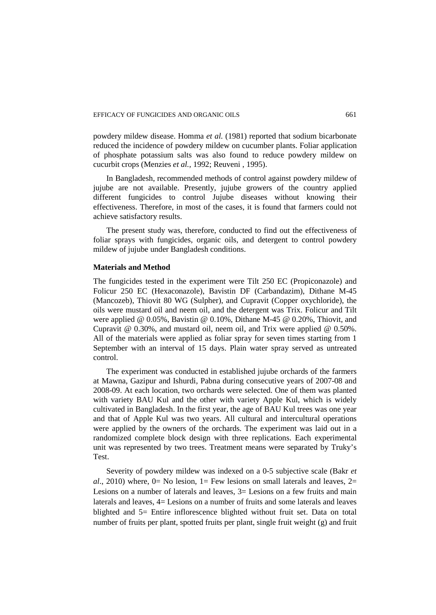powdery mildew disease. Homma *et al.* (1981) reported that sodium bicarbonate reduced the incidence of powdery mildew on cucumber plants. Foliar application of phosphate potassium salts was also found to reduce powdery mildew on cucurbit crops (Menzies *et al.,* 1992; Reuveni , 1995).

In Bangladesh, recommended methods of control against powdery mildew of jujube are not available. Presently, jujube growers of the country applied different fungicides to control Jujube diseases without knowing their effectiveness. Therefore, in most of the cases, it is found that farmers could not achieve satisfactory results.

The present study was, therefore, conducted to find out the effectiveness of foliar sprays with fungicides, organic oils, and detergent to control powdery mildew of jujube under Bangladesh conditions.

# **Materials and Method**

The fungicides tested in the experiment were Tilt 250 EC (Propiconazole) and Folicur 250 EC (Hexaconazole), Bavistin DF (Carbandazim), Dithane M-45 (Mancozeb), Thiovit 80 WG (Sulpher), and Cupravit (Copper oxychloride), the oils were mustard oil and neem oil, and the detergent was Trix. Folicur and Tilt were applied @ 0.05%, Bavistin @ 0.10%, Dithane M-45 @ 0.20%, Thiovit, and Cupravit @ 0.30%, and mustard oil, neem oil, and Trix were applied @ 0.50%. All of the materials were applied as foliar spray for seven times starting from 1 September with an interval of 15 days. Plain water spray served as untreated control.

The experiment was conducted in established jujube orchards of the farmers at Mawna, Gazipur and Ishurdi, Pabna during consecutive years of 2007-08 and 2008-09. At each location, two orchards were selected. One of them was planted with variety BAU Kul and the other with variety Apple Kul, which is widely cultivated in Bangladesh. In the first year, the age of BAU Kul trees was one year and that of Apple Kul was two years. All cultural and intercultural operations were applied by the owners of the orchards. The experiment was laid out in a randomized complete block design with three replications. Each experimental unit was represented by two trees. Treatment means were separated by Truky's Test.

Severity of powdery mildew was indexed on a 0-5 subjective scale (Bakr *et al*., 2010) where,  $0=$  No lesion,  $1=$  Few lesions on small laterals and leaves,  $2=$ Lesions on a number of laterals and leaves,  $3=$  Lesions on a few fruits and main laterals and leaves, 4= Lesions on a number of fruits and some laterals and leaves blighted and 5= Entire inflorescence blighted without fruit set. Data on total number of fruits per plant, spotted fruits per plant, single fruit weight (g) and fruit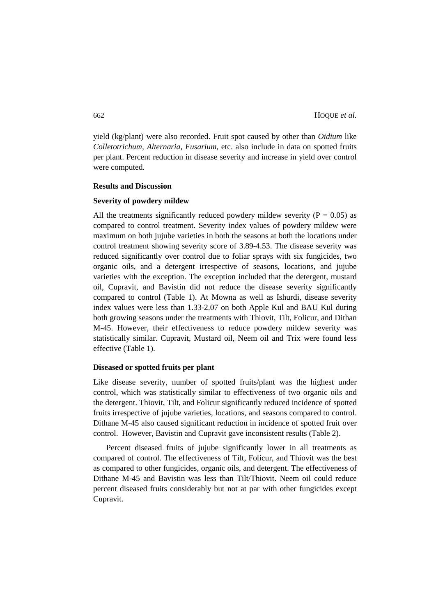yield (kg/plant) were also recorded. Fruit spot caused by other than *Oidium* like *Colletotrichum, Alternaria, Fusarium,* etc. also include in data on spotted fruits per plant. Percent reduction in disease severity and increase in yield over control were computed.

### **Results and Discussion**

### **Severity of powdery mildew**

All the treatments significantly reduced powdery mildew severity ( $P = 0.05$ ) as compared to control treatment. Severity index values of powdery mildew were maximum on both jujube varieties in both the seasons at both the locations under control treatment showing severity score of 3.89-4.53. The disease severity was reduced significantly over control due to foliar sprays with six fungicides, two organic oils, and a detergent irrespective of seasons, locations, and jujube varieties with the exception. The exception included that the detergent, mustard oil, Cupravit, and Bavistin did not reduce the disease severity significantly compared to control (Table 1). At Mowna as well as Ishurdi, disease severity index values were less than 1.33-2.07 on both Apple Kul and BAU Kul during both growing seasons under the treatments with Thiovit, Tilt, Folicur, and Dithan M-45. However, their effectiveness to reduce powdery mildew severity was statistically similar. Cupravit, Mustard oil, Neem oil and Trix were found less effective (Table 1).

#### **Diseased or spotted fruits per plant**

Like disease severity, number of spotted fruits/plant was the highest under control, which was statistically similar to effectiveness of two organic oils and the detergent. Thiovit, Tilt, and Folicur significantly reduced incidence of spotted fruits irrespective of jujube varieties, locations, and seasons compared to control. Dithane M-45 also caused significant reduction in incidence of spotted fruit over control. However, Bavistin and Cupravit gave inconsistent results (Table 2).

Percent diseased fruits of jujube significantly lower in all treatments as compared of control. The effectiveness of Tilt, Folicur, and Thiovit was the best as compared to other fungicides, organic oils, and detergent. The effectiveness of Dithane M-45 and Bavistin was less than Tilt/Thiovit. Neem oil could reduce percent diseased fruits considerably but not at par with other fungicides except Cupravit.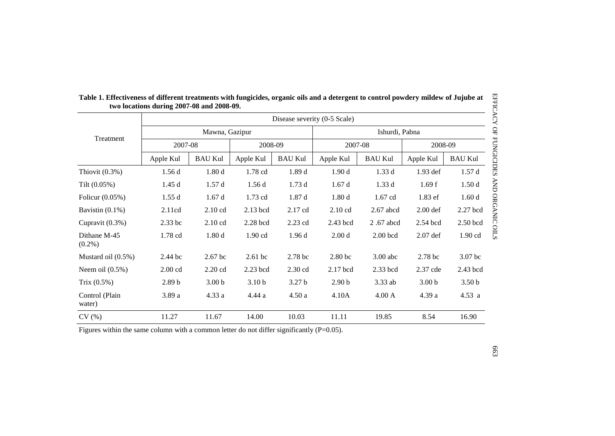| EFFICACY OF FUNGICIDES<br>Table 1. Effectiveness of different treatments with fungicides, organic oils and a detergent to control powdery mildew of Jujube at<br>two locations during 2007-08 and 2008-09. |                              |                   |                   |                   |                    |                 |                    |                    |  |  |
|------------------------------------------------------------------------------------------------------------------------------------------------------------------------------------------------------------|------------------------------|-------------------|-------------------|-------------------|--------------------|-----------------|--------------------|--------------------|--|--|
|                                                                                                                                                                                                            | Disease severity (0-5 Scale) |                   |                   |                   |                    |                 |                    |                    |  |  |
|                                                                                                                                                                                                            |                              | Mawna, Gazipur    |                   |                   |                    | Ishurdi, Pabna  |                    |                    |  |  |
| Treatment                                                                                                                                                                                                  | 2007-08                      |                   | 2008-09           |                   | 2007-08            |                 | 2008-09            |                    |  |  |
|                                                                                                                                                                                                            | Apple Kul                    | <b>BAU Kul</b>    | Apple Kul         | <b>BAU Kul</b>    | Apple Kul          | <b>BAU Kul</b>  | Apple Kul          | <b>BAU Kul</b>     |  |  |
| Thiovit $(0.3\%)$                                                                                                                                                                                          | 1.56d                        | 1.80d             | 1.78 cd           | 1.89d             | 1.90d              | 1.33d           | 1.93 def           | 1.57d              |  |  |
| Tilt $(0.05\%)$                                                                                                                                                                                            | 1.45d                        | 1.57d             | 1.56d             | 1.73d             | 1.67d              | 1.33d           | 1.69f              | 1.50d              |  |  |
| Folicur $(0.05\%)$                                                                                                                                                                                         | 1.55d                        | 1.67d             | $1.73$ cd         | 1.87d             | 1.80d              | $1.67$ cd       | 1.83 ef            | 1.60d              |  |  |
| Bavistin $(0.1\%)$                                                                                                                                                                                         | 2.11cd                       | 2.10 cd           | 2.13 bcd          | 2.17 cd           | 2.10 cd            | $2.67$ abcd     | $2.00$ def         | 2.27 bcd           |  |  |
| Cupravit (0.3%)                                                                                                                                                                                            | 2.33 bc                      | 2.10 cd           | $2.28$ bcd        | 2.23 cd           | 2.43 bcd           | 2.67 abcd       | 2.54 bcd           | 2.50 bcd           |  |  |
| Dithane M-45<br>$(0.2\%)$                                                                                                                                                                                  | 1.78 cd                      | 1.80d             | $1.90$ cd         | 1.96d             | 2.00 <sub>d</sub>  | $2.00$ bcd      | $2.07$ def         | $1.90$ cd          |  |  |
| Mustard oil (0.5%)                                                                                                                                                                                         | 2.44 bc                      | $2.67$ bc         | $2.61$ bc         | 2.78 bc           | 2.80 <sub>bc</sub> | $3.00$ abc      | 2.78 <sub>bc</sub> | 3.07 <sub>bc</sub> |  |  |
| Neem oil $(0.5\%)$                                                                                                                                                                                         | $2.00 \text{ cd}$            | $2.20$ cd         | $2.23$ bcd        | $2.30$ cd         | 2.17 bcd           | $2.33$ bcd      | 2.37 cde           | 2.43 bcd           |  |  |
| Trix $(0.5%)$                                                                                                                                                                                              | 2.89 <sub>b</sub>            | 3.00 <sub>b</sub> | 3.10 <sub>b</sub> | 3.27 <sub>b</sub> | 2.90 <sub>b</sub>  | $3.33$ ab       | 3.00 <sub>b</sub>  | 3.50 <sub>b</sub>  |  |  |
| Control (Plain<br>water)                                                                                                                                                                                   | 3.89a                        | 4.33a             | 4.44a             | 4.50a             | 4.10A              | $4.00\text{ A}$ | 4.39a              | 4.53 a             |  |  |
| CV(%)                                                                                                                                                                                                      | 11.27                        | 11.67             | 14.00             | 10.03             | 11.11              | 19.85           | 8.54               | 16.90              |  |  |

|                                           | Table 1. Effectiveness of different treatments with fungicides, organic oils and a detergent to control powdery mildew of Jujube at |
|-------------------------------------------|-------------------------------------------------------------------------------------------------------------------------------------|
| two locations during 2007-08 and 2008-09. |                                                                                                                                     |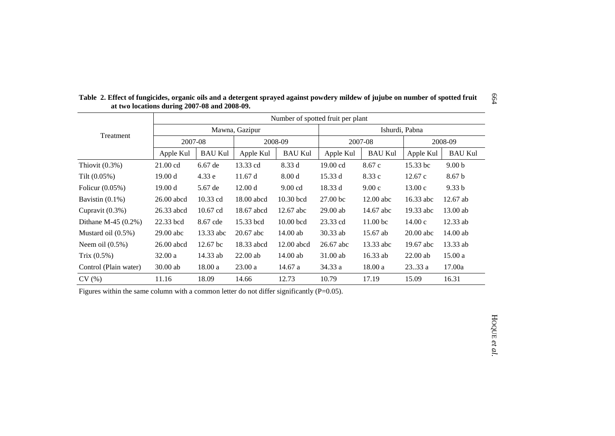|                        | Number of spotted fruit per plant |                     |                |                   |                     |                     |             |                   |  |  |
|------------------------|-----------------------------------|---------------------|----------------|-------------------|---------------------|---------------------|-------------|-------------------|--|--|
|                        |                                   |                     | Mawna, Gazipur |                   | Ishurdi, Pabna      |                     |             |                   |  |  |
| Treatment              | 2007-08                           |                     | 2008-09        |                   | 2007-08             |                     | 2008-09     |                   |  |  |
|                        | Apple Kul                         | <b>BAU Kul</b>      | Apple Kul      | <b>BAU Kul</b>    | Apple Kul           | <b>BAU Kul</b>      | Apple Kul   | <b>BAU Kul</b>    |  |  |
| Thiovit $(0.3\%)$      | $21.00 \text{ cd}$                | $6.67$ de           | 13.33 cd       | 8.33 d            | 19.00 cd            | 8.67c               | 15.33 bc    | 9.00 <sub>b</sub> |  |  |
| Tilt $(0.05\%)$        | 19.00 d                           | 4.33 e              | 11.67 d        | 8.00 <sub>d</sub> | 15.33 d             | 8.33 c              | 12.67c      | 8.67 <sub>b</sub> |  |  |
| Folicur $(0.05\%)$     | 19.00 d                           | 5.67 de             | 12.00 d        | $9.00$ cd         | 18.33 d             | 9.00c               | 13.00c      | 9.33 <sub>b</sub> |  |  |
| Bavistin $(0.1\%)$     | $26.00$ abcd                      | $10.33$ cd          | 18.00 abcd     | $10.30$ bcd       | 27.00 <sub>bc</sub> | $12.00$ abc         | 16.33 abc   | $12.67$ ab        |  |  |
| Cupravit $(0.3\%)$     | 26.33 abcd                        | $10.67$ cd          | 18.67 abcd     | $12.67$ abc       | $29.00$ ab          | 14.67 abc           | 19.33 abc   | $13.00$ ab        |  |  |
| Dithane M-45 $(0.2\%)$ | 22.33 bcd                         | 8.67 cde            | 15.33 bcd      | $10.00$ bcd       | 23.33 cd            | 11.00 <sub>bc</sub> | 14.00c      | $12.33$ ab        |  |  |
| Mustard oil (0.5%)     | $29.00$ abc                       | 13.33 abc           | $20.67$ abc    | $14.00$ ab        | 30.33 ab            | 15.67 ab            | $20.00$ abc | $14.00$ ab        |  |  |
| Neem oil $(0.5\%)$     | $26.00$ abcd                      | 12.67 <sub>bc</sub> | 18.33 abcd     | $12.00$ abcd      | 26.67 abc           | 13.33 abc           | 19.67 abc   | 13.33 ab          |  |  |
| Trix $(0.5\%)$         | 32.00a                            | 14.33 ab            | $22.00$ ab     | $14.00$ ab        | $31.00$ ab          | $16.33$ ab          | $22.00$ ab  | 15.00a            |  |  |
| Control (Plain water)  | $30.00$ ab                        | 18.00a              | 23.00a         | 14.67 a           | 34.33 a             | 18.00 a             | 2333a       | 17.00a            |  |  |
| CV(%)                  | 11.16                             | 18.09               | 14.66          | 12.73             | 10.79               | 17.19               | 15.09       | 16.31             |  |  |

**Table 2. Effect of fungicides, organic oils and a detergent sprayed against powdery mildew of jujube on number of spotted fruit at two locations during 2007-08 and 2008-09.**

664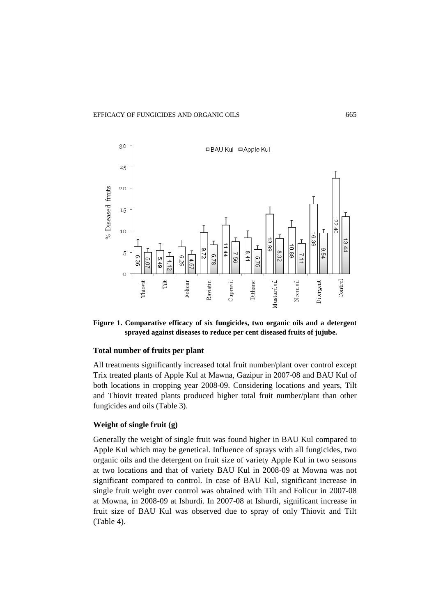#### EFFICACY OF FUNGICIDES AND ORGANIC OILS 665



**Figure 1. Comparative efficacy of six fungicides, two organic oils and a detergent sprayed against diseases to reduce per cent diseased fruits of jujube.** 

# **Total number of fruits per plant**

All treatments significantly increased total fruit number/plant over control except Trix treated plants of Apple Kul at Mawna, Gazipur in 2007-08 and BAU Kul of both locations in cropping year 2008-09. Considering locations and years, Tilt and Thiovit treated plants produced higher total fruit number/plant than other fungicides and oils (Table 3).

# **Weight of single fruit (g)**

Generally the weight of single fruit was found higher in BAU Kul compared to Apple Kul which may be genetical. Influence of sprays with all fungicides, two organic oils and the detergent on fruit size of variety Apple Kul in two seasons at two locations and that of variety BAU Kul in 2008-09 at Mowna was not significant compared to control. In case of BAU Kul, significant increase in single fruit weight over control was obtained with Tilt and Folicur in 2007-08 at Mowna, in 2008-09 at Ishurdi. In 2007-08 at Ishurdi, significant increase in fruit size of BAU Kul was observed due to spray of only Thiovit and Tilt (Table 4).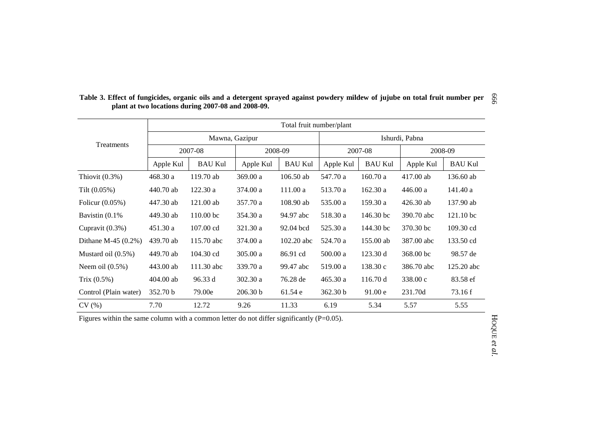|                        | Total fruit number/plant |                      |                |                |                |                |            |                     |  |  |
|------------------------|--------------------------|----------------------|----------------|----------------|----------------|----------------|------------|---------------------|--|--|
| Treatments             |                          |                      | Mawna, Gazipur |                | Ishurdi, Pabna |                |            |                     |  |  |
|                        |                          | 2007-08              | 2008-09        |                | 2007-08        |                | 2008-09    |                     |  |  |
|                        | Apple Kul                | <b>BAU Kul</b>       | Apple Kul      | <b>BAU Kul</b> | Apple Kul      | <b>BAU Kul</b> | Apple Kul  | <b>BAU Kul</b>      |  |  |
| Thiovit $(0.3\%)$      | 468.30a                  | 119.70 ab            | 369.00 a       | $106.50$ ab    | 547.70 a       | 160.70a        | 417.00 ab  | 136.60 ab           |  |  |
| Tilt $(0.05\%)$        | 440.70 ab                | 122.30a              | 374.00 a       | 111.00a        | 513.70 a       | 162.30 a       | 446.00 a   | 141.40 a            |  |  |
| Folicur (0.05%)        | 447.30 ab                | $121.00$ ab          | 357.70 a       | 108.90 ab      | 535.00 a       | 159.30 a       | 426.30 ab  | 137.90 ab           |  |  |
| Bavistin $(0.1\%$      | 449.30 ab                | 110.00 <sub>bc</sub> | 354.30 a       | 94.97 abc      | 518.30 a       | 146.30 bc      | 390.70 abc | 121.10 bc           |  |  |
| Cupravit (0.3%)        | 451.30a                  | $107.00 \text{ cd}$  | 321.30 a       | 92.04 bcd      | 525.30 a       | 144.30 bc      | 370.30 bc  | $109.30 \text{ cd}$ |  |  |
| Dithane M-45 $(0.2\%)$ | 439.70 ab                | 115.70 abc           | 374.00 a       | $102.20$ abc   | 524.70 a       | 155.00 ab      | 387.00 abc | 133.50 cd           |  |  |
| Mustard oil $(0.5\%)$  | 449.70 ab                | 104.30 cd            | 305.00 a       | 86.91 cd       | 500.00 a       | 123.30 d       | 368.00 bc  | 98.57 de            |  |  |
| Neem oil $(0.5\%)$     | 443.00 ab                | 111.30 abc           | 339.70 a       | 99.47 abc      | 519.00 a       | 138.30c        | 386.70 abc | 125.20 abc          |  |  |
| Trix $(0.5\%)$         | $404.00$ ab              | 96.33 d              | 302.30 a       | 76.28 de       | 465.30 a       | 116.70 d       | 338.00 c   | 83.58 ef            |  |  |
| Control (Plain water)  | 352.70 b                 | 79.00e               | 206.30 b       | 61.54 e        | 362.30 b       | 91.00 e        | 231.70d    | 73.16 f             |  |  |
| CV(%)                  | 7.70                     | 12.72                | 9.26           | 11.33          | 6.19           | 5.34           | 5.57       | 5.55                |  |  |

Table 3. Effect of fungicides, organic oils and a detergent sprayed against powdery mildew of jujube on total fruit number per  $\frac{8}{9}$ **plant at two locations during 2007-08 and 2008-09.**

Figures within the same column with a common letter do not differ significantly (P=0.05).

HOQUE *et al.*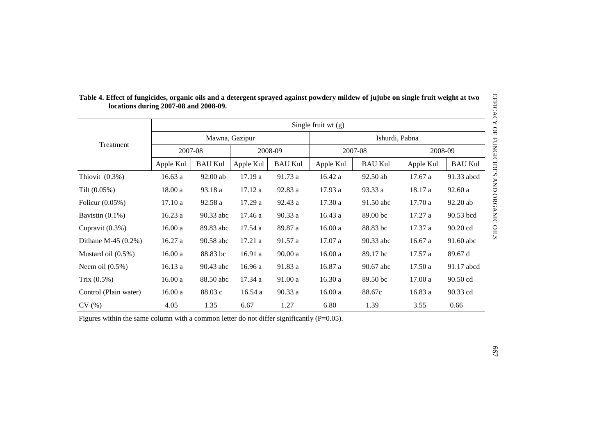| EFFICACY OF FUNGICIDES<br>Table 4. Effect of fungicides, organic oils and a detergent sprayed against powdery mildew of jujube on single fruit weight at two<br>locations during 2007-08 and 2008-09. |                      |                |           |                |           |                |           |                |  |  |
|-------------------------------------------------------------------------------------------------------------------------------------------------------------------------------------------------------|----------------------|----------------|-----------|----------------|-----------|----------------|-----------|----------------|--|--|
|                                                                                                                                                                                                       | Single fruit $wt(g)$ |                |           |                |           |                |           |                |  |  |
|                                                                                                                                                                                                       |                      | Mawna, Gazipur |           |                |           | Ishurdi, Pabna |           |                |  |  |
| Treatment                                                                                                                                                                                             | 2007-08              |                | 2008-09   |                |           | 2007-08        |           | 2008-09        |  |  |
|                                                                                                                                                                                                       | Apple Kul            | <b>BAU Kul</b> | Apple Kul | <b>BAU Kul</b> | Apple Kul | <b>BAU Kul</b> | Apple Kul | <b>BAU Kul</b> |  |  |
| Thiovit $(0.3\%)$                                                                                                                                                                                     | 16.63a               | 92.00 ab       | 17.19a    | 91.73 a        | 16.42a    | 92.50 ab       | 17.67a    | 91.33 abcd     |  |  |
| Tilt $(0.05\%)$                                                                                                                                                                                       | 18.00 a              | 93.18 a        | 17.12 a   | 92.83 a        | 17.93 a   | 93.33 a        | 18.17 a   | 92.60 a        |  |  |
| Folicur $(0.05\%)$                                                                                                                                                                                    | 17.10a               | 92.58 a        | 17.29a    | 92.43 a        | 17.30a    | 91.50 abc      | 17.70 a   | 92.20 ab       |  |  |
| Bavistin $(0.1\%)$                                                                                                                                                                                    | 16.23a               | 90.33 abc      | 17.46 a   | 90.33 a        | 16.43a    | 89.00 bc       | 17.27 a   | 90.53 bcd      |  |  |
| Cupravit $(0.3\%)$                                                                                                                                                                                    | 16.00a               | 89.83 abc      | 17.54 a   | 89.87 a        | 16.00a    | 88.83 bc       | 17.37 a   | 90.20 cd       |  |  |
| Dithane M-45 $(0.2\%)$                                                                                                                                                                                | 16.27a               | 90.58 abc      | 17.21a    | 91.57 a        | 17.07 a   | 90.33 abc      | 16.67a    | 91.60 abc      |  |  |
| Mustard oil $(0.5\%)$                                                                                                                                                                                 | 16.00a               | 88.83 bc       | 16.91 a   | $90.00a$       | 16.00a    | 89.17 bc       | 17.57a    | 89.67 d        |  |  |
| Neem oil $(0.5\%)$                                                                                                                                                                                    | 16.13a               | 90.43 abc      | 16.96 a   | 91.83 a        | 16.87 a   | 90.67 abc      | 17.50a    | 91.17 abcd     |  |  |
| Trix $(0.5%)$                                                                                                                                                                                         | 16.00a               | 88.50 abc      | 17.34 a   | 91.00a         | 16.30a    | 89.50 bc       | 17.00a    | 90.50 cd       |  |  |
| Control (Plain water)                                                                                                                                                                                 | 16.00a               | 88.03c         | 16.54a    | 90.33 a        | 16.00a    | 88.67c         | 16.83 a   | 90.33 cd       |  |  |
| CV(%)                                                                                                                                                                                                 | 4.05                 | 1.35           | 6.67      | 1.27           | 6.80      | 1.39           | 3.55      | 0.66           |  |  |

|                                       | Table 4. Effect of fungicides, organic oils and a detergent sprayed against powdery mildew of jujube on single fruit weight at two |
|---------------------------------------|------------------------------------------------------------------------------------------------------------------------------------|
| locations during 2007-08 and 2008-09. |                                                                                                                                    |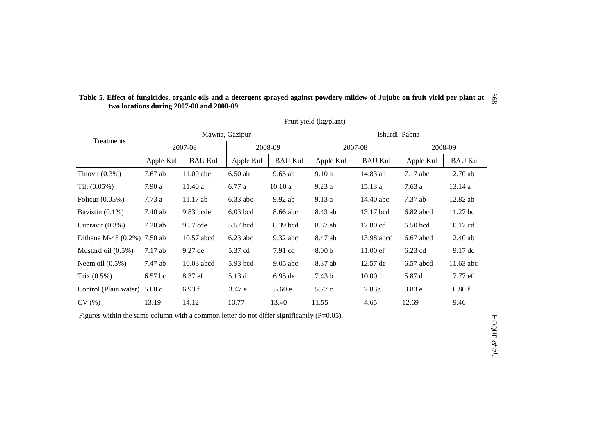|                                | Fruit yield (kg/plant) |                |            |                |                   |                    |             |                |  |  |  |
|--------------------------------|------------------------|----------------|------------|----------------|-------------------|--------------------|-------------|----------------|--|--|--|
|                                | Mawna, Gazipur         |                |            |                | Ishurdi, Pabna    |                    |             |                |  |  |  |
| Treatments                     |                        | 2007-08        | 2008-09    |                | 2007-08           |                    | 2008-09     |                |  |  |  |
|                                | Apple Kul              | <b>BAU Kul</b> | Apple Kul  | <b>BAU Kul</b> | Apple Kul         | <b>BAU Kul</b>     | Apple Kul   | <b>BAU Kul</b> |  |  |  |
| Thiovit $(0.3\%)$              | 7.67 ab                | $11.00$ abc    | $6.50$ ab  | $9.65$ ab      | 9.10a             | 14.83 ab           | $7.17$ abc  | $12.70$ ab     |  |  |  |
| Tilt $(0.05\%)$                | 7.90a                  | 11.40a         | 6.77 a     | 10.10a         | 9.23a             | 15.13a             | 7.63a       | 13.14a         |  |  |  |
| Folicur $(0.05\%)$             | 7.73a                  | 11.17 ab       | $6.33$ abc | 9.92 ab        | 9.13a             | 14.40 abc          | 7.37 ab     | 12.82 ab       |  |  |  |
| Bavistin $(0.1\%)$             | 7.40 ab                | 9.83 bcde      | $6.03$ bcd | 8.66 abc       | 8.43 ab           | 13.17 bcd          | 6.82 abcd   | $11.27$ bc     |  |  |  |
| Cupravit $(0.3\%)$             | 7.20ab                 | 9.57 cde       | 5.57 bcd   | 8.39 bcd       | 8.37 ab           | 12.80 cd           | $6.50$ bcd  | 10.17 cd       |  |  |  |
| Dithane M-45 $(0.2\%)$ 7.50 ab |                        | 10.57 abcd     | $6.23$ abc | $9.32$ abc     | 8.47 ab           | 13.98 abcd         | $6.67$ abcd | $12.40$ ab     |  |  |  |
| Mustard oil $(0.5\%)$          | $7.17$ ab              | 9.27 de        | 5.37 cd    | 7.91 cd        | 8.00 <sub>b</sub> | $11.00 \text{ ef}$ | 6.23 cd     | $9.17$ de      |  |  |  |
| Neem oil $(0.5\%)$             | 7.47 ab                | 10.03 abcd     | 5.93 bcd   | $9.05$ abc     | 8.37 ab           | 12.57 de           | $6.57$ abcd | 11.63 abc      |  |  |  |
| Trix $(0.5\%)$                 | 6.57 bc                | 8.37 ef        | 5.13 d     | 6.95 de        | 7.43 b            | 10.00 f            | 5.87 d      | 7.77 ef        |  |  |  |
| Control (Plain water)          | 5.60c                  | 6.93 f         | 3.47 e     | 5.60e          | 5.77 c            | 7.83g              | 3.83 e      | 6.80f          |  |  |  |
| CV(%)                          | 13.19                  | 14.12          | 10.77      | 13.40          | 11.55             | 4.65               | 12.69       | 9.46           |  |  |  |

Table 5. Effect of fungicides, organic oils and a detergent sprayed against powdery mildew of Jujube on fruit yield per plant at  $\frac{8}{3}$ **two locations during 2007-08 and 2008-09.**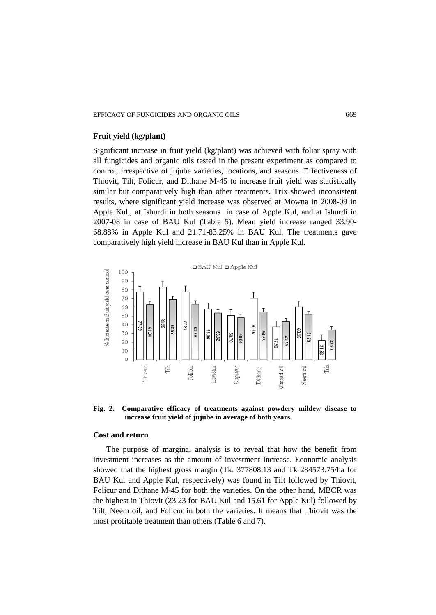#### EFFICACY OF FUNGICIDES AND ORGANIC OILS 669

# **Fruit yield (kg/plant)**

Significant increase in fruit yield (kg/plant) was achieved with foliar spray with all fungicides and organic oils tested in the present experiment as compared to control, irrespective of jujube varieties, locations, and seasons. Effectiveness of Thiovit, Tilt, Folicur, and Dithane M-45 to increase fruit yield was statistically similar but comparatively high than other treatments. Trix showed inconsistent results, where significant yield increase was observed at Mowna in 2008-09 in Apple Kul,, at Ishurdi in both seasons in case of Apple Kul, and at Ishurdi in 2007-08 in case of BAU Kul (Table 5). Mean yield increase ranged 33.90- 68.88% in Apple Kul and 21.71-83.25% in BAU Kul. The treatments gave comparatively high yield increase in BAU Kul than in Apple Kul.



**Fig. 2. Comparative efficacy of treatments against powdery mildew disease to increase fruit yield of jujube in average of both years.**

#### **Cost and return**

The purpose of marginal analysis is to reveal that how the benefit from investment increases as the amount of investment increase. Economic analysis showed that the highest gross margin (Tk. 377808.13 and Tk 284573.75/ha for BAU Kul and Apple Kul, respectively) was found in Tilt followed by Thiovit, Folicur and Dithane M-45 for both the varieties. On the other hand, MBCR was the highest in Thiovit (23.23 for BAU Kul and 15.61 for Apple Kul) followed by Tilt, Neem oil, and Folicur in both the varieties. It means that Thiovit was the most profitable treatment than others (Table 6 and 7).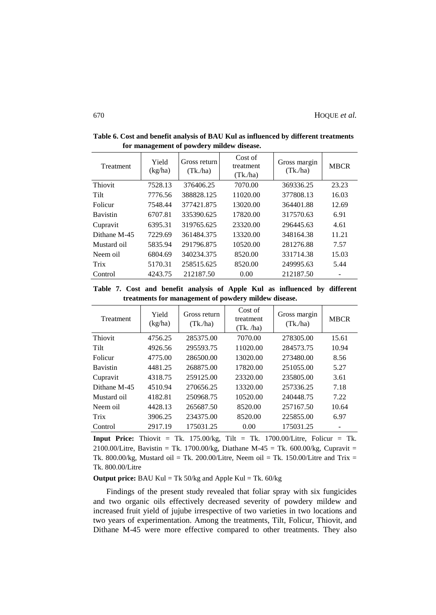| Treatment       | Yield<br>(kg/ha) | Gross return<br>(Tk <sub>n</sub> /ha) | Cost of<br>treatment<br>(Tk/ha) | Gross margin<br>(Tk/ha) | <b>MBCR</b> |
|-----------------|------------------|---------------------------------------|---------------------------------|-------------------------|-------------|
| Thiovit         | 7528.13          | 376406.25                             | 7070.00                         | 369336.25               | 23.23       |
| Tilt            | 7776.56          | 388828.125                            | 11020.00                        | 377808.13               | 16.03       |
| Folicur         | 7548.44          | 377421.875                            | 13020.00                        | 364401.88               | 12.69       |
| <b>Bavistin</b> | 6707.81          | 335390.625                            | 17820.00                        | 317570.63               | 6.91        |
| Cupravit        | 6395.31          | 319765.625                            | 23320.00                        | 296445.63               | 4.61        |
| Dithane M-45    | 7229.69          | 361484.375                            | 13320.00                        | 348164.38               | 11.21       |
| Mustard oil     | 5835.94          | 291796.875                            | 10520.00                        | 281276.88               | 7.57        |
| Neem oil        | 6804.69          | 340234.375                            | 8520.00                         | 331714.38               | 15.03       |
| Trix            | 5170.31          | 258515.625                            | 8520.00                         | 249995.63               | 5.44        |
| Control         | 4243.75          | 212187.50                             | 0.00                            | 212187.50               |             |

**Table 6. Cost and benefit analysis of BAU Kul as influenced by different treatments for management of powdery mildew disease.**

**Table 7. Cost and benefit analysis of Apple Kul as influenced by different treatments for management of powdery mildew disease.**

| Treatment       | Yield<br>(kg/ha) | Gross return<br>(Tk/ha) | Cost of<br>treatment<br>(Tk. /ha) | Gross margin<br>(Tk/ha) | <b>MBCR</b> |
|-----------------|------------------|-------------------------|-----------------------------------|-------------------------|-------------|
| Thiovit         | 4756.25          | 285375.00               | 7070.00                           | 278305.00               | 15.61       |
| Tilt            | 4926.56          | 295593.75               | 11020.00                          | 284573.75               | 10.94       |
| Folicur         | 4775.00          | 286500.00               | 13020.00                          | 273480.00               | 8.56        |
| <b>Bavistin</b> | 4481.25          | 268875.00               | 17820.00                          | 251055.00               | 5.27        |
| Cupravit        | 4318.75          | 259125.00               | 23320.00                          | 235805.00               | 3.61        |
| Dithane M-45    | 4510.94          | 270656.25               | 13320.00                          | 257336.25               | 7.18        |
| Mustard oil     | 4182.81          | 250968.75               | 10520.00                          | 240448.75               | 7.22        |
| Neem oil        | 4428.13          | 265687.50               | 8520.00                           | 257167.50               | 10.64       |
| Trix            | 3906.25          | 234375.00               | 8520.00                           | 225855.00               | 6.97        |
| Control         | 2917.19          | 175031.25               | 0.00                              | 175031.25               |             |

**Input Price:** Thiovit = Tk. 175.00/kg, Tilt = Tk. 1700.00/Litre, Folicur = Tk. 2100.00/Litre, Bavistin = Tk. 1700.00/kg, Diathane M-45 = Tk. 600.00/kg, Cupravit = Tk. 800.00/kg, Mustard oil = Tk. 200.00/Litre, Neem oil = Tk. 150.00/Litre and Trix = Tk. 800.00/Litre

**Output price:** BAU Kul = Tk  $50/kg$  and Apple Kul = Tk.  $60/kg$ 

Findings of the present study revealed that foliar spray with six fungicides and two organic oils effectively decreased severity of powdery mildew and increased fruit yield of jujube irrespective of two varieties in two locations and two years of experimentation. Among the treatments, Tilt, Folicur, Thiovit, and Dithane M-45 were more effective compared to other treatments. They also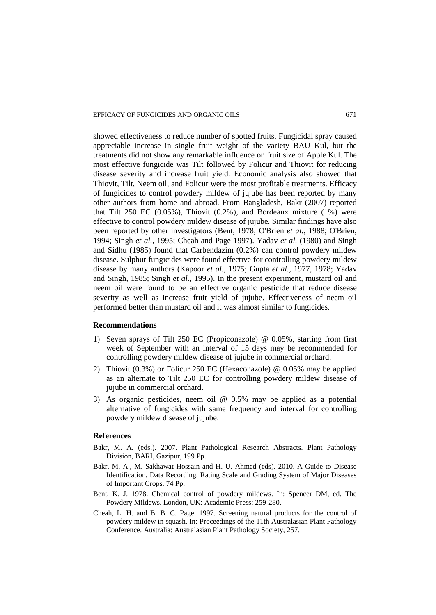showed effectiveness to reduce number of spotted fruits. Fungicidal spray caused appreciable increase in single fruit weight of the variety BAU Kul, but the treatments did not show any remarkable influence on fruit size of Apple Kul. The most effective fungicide was Tilt followed by Folicur and Thiovit for reducing disease severity and increase fruit yield. Economic analysis also showed that Thiovit, Tilt, Neem oil, and Folicur were the most profitable treatments. Efficacy of fungicides to control powdery mildew of jujube has been reported by many other authors from home and abroad. From Bangladesh, Bakr (2007) reported that Tilt 250 EC  $(0.05\%)$ , Thiovit  $(0.2\%)$ , and Bordeaux mixture  $(1\%)$  were effective to control powdery mildew disease of jujube. Similar findings have also been reported by other investigators (Bent, 1978; O'Brien *et al.,* 1988; O'Brien, 1994; Singh *et al.,* 1995; Cheah and Page 1997). Yadav *et al.* (1980) and Singh and Sidhu (1985) found that Carbendazim (0.2%) can control powdery mildew disease. Sulphur fungicides were found effective for controlling powdery mildew disease by many authors (Kapoor *et al.,* 1975; Gupta *et al.,* 1977, 1978; Yadav and Singh, 1985; Singh *et al.,* 1995). In the present experiment, mustard oil and neem oil were found to be an effective organic pesticide that reduce disease severity as well as increase fruit yield of jujube. Effectiveness of neem oil performed better than mustard oil and it was almost similar to fungicides.

### **Recommendations**

- 1) Seven sprays of Tilt 250 EC (Propiconazole) @ 0.05%, starting from first week of September with an interval of 15 days may be recommended for controlling powdery mildew disease of jujube in commercial orchard.
- 2) Thiovit (0.3%) or Folicur 250 EC (Hexaconazole) @ 0.05% may be applied as an alternate to Tilt 250 EC for controlling powdery mildew disease of jujube in commercial orchard.
- 3) As organic pesticides, neem oil @ 0.5% may be applied as a potential alternative of fungicides with same frequency and interval for controlling powdery mildew disease of jujube.

### **References**

- Bakr, M. A. (eds.). 2007. Plant Pathological Research Abstracts. Plant Pathology Division, BARI, Gazipur, 199 Pp.
- Bakr, M. A., M. Sakhawat Hossain and H. U. Ahmed (eds). 2010. A Guide to Disease Identification, Data Recording, Rating Scale and Grading System of Major Diseases of Important Crops. 74 Pp.
- Bent, K. J. 1978. Chemical control of powdery mildews. In: Spencer DM, ed. The Powdery Mildews. London, UK: Academic Press: 259-280.
- Cheah, L. H. and B. B. C. Page. 1997. Screening natural products for the control of powdery mildew in squash. In: Proceedings of the 11th Australasian Plant Pathology Conference. Australia: Australasian Plant Pathology Society, 257.